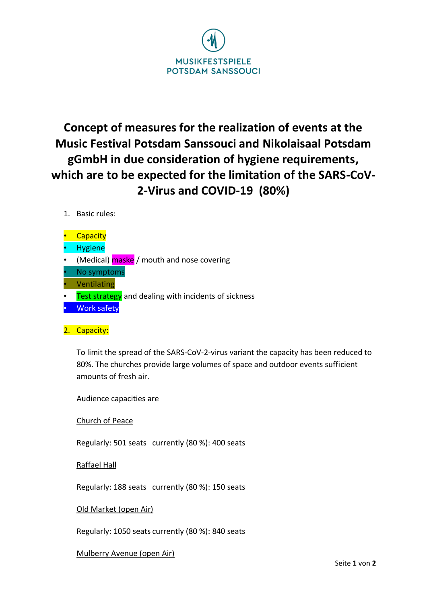

## **Concept of measures for the realization of events at the Music Festival Potsdam Sanssouci and Nikolaisaal Potsdam gGmbH in due consideration of hygiene requirements, which are to be expected for the limitation of the SARS-CoV-2-Virus and COVID-19 (80%)**

- 1. Basic rules:
- Capacity
- Hygiene
- (Medical) **maske** / mouth and nose covering
- No symptoms
- Ventilating
- Test strategy and dealing with incidents of sickness
- Work safety
- 2. Capacity:

To limit the spread of the SARS-CoV-2-virus variant the capacity has been reduced to 80%. The churches provide large volumes of space and outdoor events sufficient amounts of fresh air.

Audience capacities are

Church of Peace

Regularly: 501 seats currently (80 %): 400 seats

Raffael Hall

Regularly: 188 seats currently (80 %): 150 seats

## Old Market (open Air)

Regularly: 1050 seats currently (80 %): 840 seats

Mulberry Avenue (open Air)